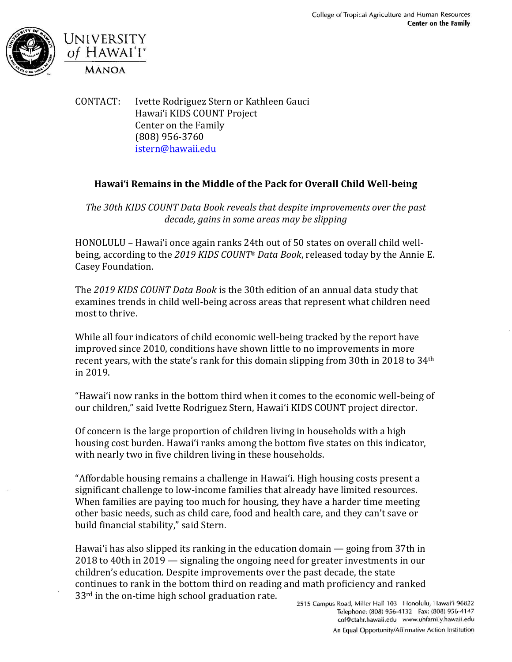



CONTACT: Ivette Rodriguez Stern or Kathleen Gauci Hawai'i KIDS COUNT Project Center on the Family (808) 956-3760 [istern@hawaii.edu](mailto:istern@hawaii.edu)

## **Hawai'i Remains in the Middle of the Pack for Overall Child Well-being**

*The 30th KIDS COUNT Data Book reveals that despite improvements over the past decade, gains in some areas may be slipping*

HONOLULU – Hawai'i once again ranks 24th out of 50 states on overall child wellbeing, according to the *2019 KIDS COUNT*® *Data Book*, released today by the Annie E. Casey Foundation.

The *2019 KIDS COUNT Data Book* is the 30th edition of an annual data study that examines trends in child well-being across areas that represent what children need most to thrive.

While all four indicators of child economic well-being tracked by the report have improved since 2010, conditions have shown little to no improvements in more recent years, with the state's rank for this domain slipping from 30th in 2018 to 34th in 2019.

"Hawai'i now ranks in the bottom third when it comes to the economic well-being of our children," said Ivette Rodriguez Stern, Hawai'i KIDS COUNT project director.

Of concern is the large proportion of children living in households with a high housing cost burden. Hawai'i ranks among the bottom five states on this indicator, with nearly two in five children living in these households.

"Affordable housing remains a challenge in Hawai'i. High housing costs present a significant challenge to low-income families that already have limited resources. When families are paying too much for housing, they have a harder time meeting other basic needs, such as child care, food and health care, and they can't save or build financial stability," said Stern.

Hawai'i has also slipped its ranking in the education domain — going from 37th in 2018 to 40th in 2019 — signaling the ongoing need for greater investments in our children's education. Despite improvements over the past decade, the state continues to rank in the bottom third on reading and math proficiency and ranked 33<sup>rd</sup> in the on-time high school graduation rate.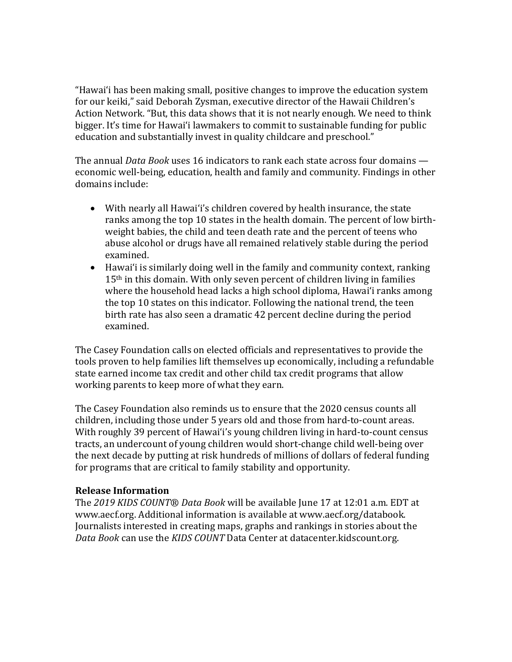"Hawai'i has been making small, positive changes to improve the education system for our keiki," said Deborah Zysman, executive director of the Hawaii Children's Action Network. "But, this data shows that it is not nearly enough. We need to think bigger. It's time for Hawai'i lawmakers to commit to sustainable funding for public education and substantially invest in quality childcare and preschool."

The annual *Data Book* uses 16 indicators to rank each state across four domains economic well-being, education, health and family and community. Findings in other domains include:

- With nearly all Hawai'i's children covered by health insurance, the state ranks among the top 10 states in the health domain. The percent of low birthweight babies, the child and teen death rate and the percent of teens who abuse alcohol or drugs have all remained relatively stable during the period examined.
- Hawai'i is similarly doing well in the family and community context, ranking 15<sup>th</sup> in this domain. With only seven percent of children living in families where the household head lacks a high school diploma, Hawai'i ranks among the top 10 states on this indicator. Following the national trend, the teen birth rate has also seen a dramatic 42 percent decline during the period examined.

The Casey Foundation calls on elected officials and representatives to provide the tools proven to help families lift themselves up economically, including a refundable state earned income tax credit and other child tax credit programs that allow working parents to keep more of what they earn.

The Casey Foundation also reminds us to ensure that the 2020 census counts all children, including those under 5 years old and those from hard-to-count areas. With roughly 39 percent of Hawai'i's young children living in hard-to-count census tracts, an undercount of young children would short-change child well-being over the next decade by putting at risk hundreds of millions of dollars of federal funding for programs that are critical to family stability and opportunity.

## **Release Information**

The *2019 KIDS COUNT*® *Data Book* will be available June 17 at 12:01 a.m. EDT at www.aecf.org. Additional information is available at www.aecf.org/databook. Journalists interested in creating maps, graphs and rankings in stories about the *Data Book* can use the *KIDS COUNT* Data Center at datacenter.kidscount.org.